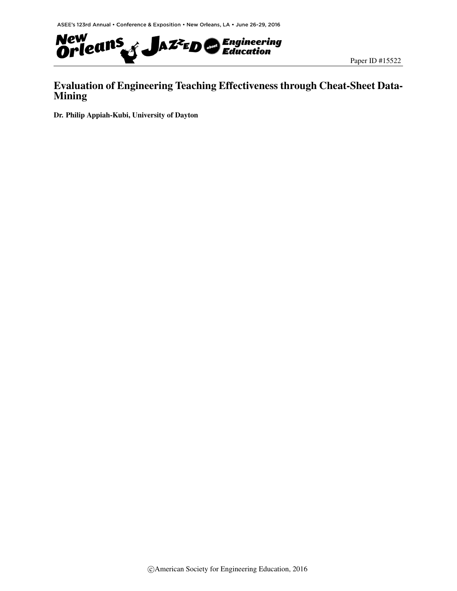

## Evaluation of Engineering Teaching Effectiveness through Cheat-Sheet Data-Mining

Dr. Philip Appiah-Kubi, University of Dayton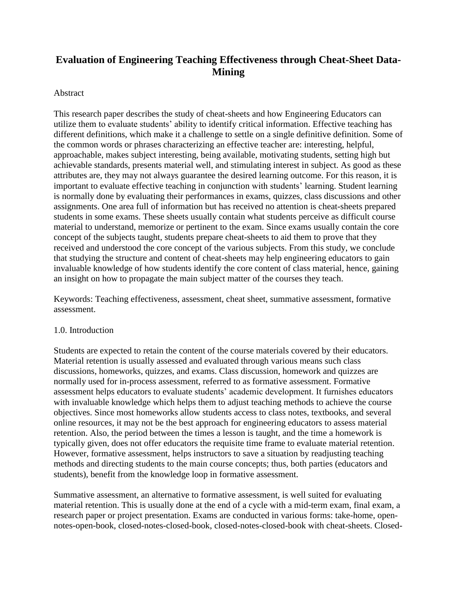# **Evaluation of Engineering Teaching Effectiveness through Cheat-Sheet Data-Mining**

#### Abstract

This research paper describes the study of cheat-sheets and how Engineering Educators can utilize them to evaluate students' ability to identify critical information. Effective teaching has different definitions, which make it a challenge to settle on a single definitive definition. Some of the common words or phrases characterizing an effective teacher are: interesting, helpful, approachable, makes subject interesting, being available, motivating students, setting high but achievable standards, presents material well, and stimulating interest in subject. As good as these attributes are, they may not always guarantee the desired learning outcome. For this reason, it is important to evaluate effective teaching in conjunction with students' learning. Student learning is normally done by evaluating their performances in exams, quizzes, class discussions and other assignments. One area full of information but has received no attention is cheat-sheets prepared students in some exams. These sheets usually contain what students perceive as difficult course material to understand, memorize or pertinent to the exam. Since exams usually contain the core concept of the subjects taught, students prepare cheat-sheets to aid them to prove that they received and understood the core concept of the various subjects. From this study, we conclude that studying the structure and content of cheat-sheets may help engineering educators to gain invaluable knowledge of how students identify the core content of class material, hence, gaining an insight on how to propagate the main subject matter of the courses they teach.

Keywords: Teaching effectiveness, assessment, cheat sheet, summative assessment, formative assessment.

#### 1.0. Introduction

Students are expected to retain the content of the course materials covered by their educators. Material retention is usually assessed and evaluated through various means such class discussions, homeworks, quizzes, and exams. Class discussion, homework and quizzes are normally used for in-process assessment, referred to as formative assessment. Formative assessment helps educators to evaluate students' academic development. It furnishes educators with invaluable knowledge which helps them to adjust teaching methods to achieve the course objectives. Since most homeworks allow students access to class notes, textbooks, and several online resources, it may not be the best approach for engineering educators to assess material retention. Also, the period between the times a lesson is taught, and the time a homework is typically given, does not offer educators the requisite time frame to evaluate material retention. However, formative assessment, helps instructors to save a situation by readjusting teaching methods and directing students to the main course concepts; thus, both parties (educators and students), benefit from the knowledge loop in formative assessment.

Summative assessment, an alternative to formative assessment, is well suited for evaluating material retention. This is usually done at the end of a cycle with a mid-term exam, final exam, a research paper or project presentation. Exams are conducted in various forms: take-home, opennotes-open-book, closed-notes-closed-book, closed-notes-closed-book with cheat-sheets. Closed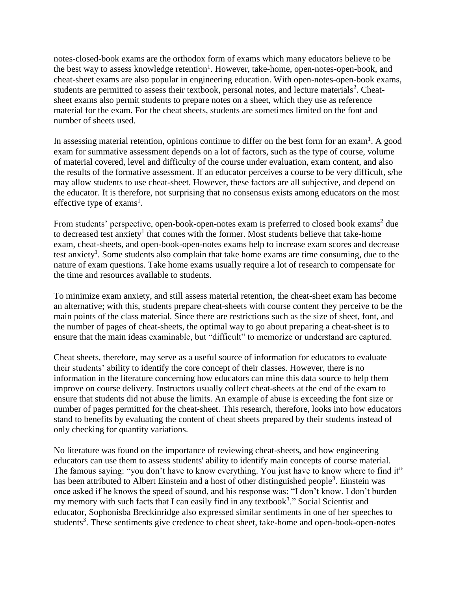notes-closed-book exams are the orthodox form of exams which many educators believe to be the best way to assess knowledge retention<sup>1</sup>. However, take-home, open-notes-open-book, and cheat-sheet exams are also popular in engineering education. With open-notes-open-book exams, students are permitted to assess their textbook, personal notes, and lecture materials<sup>2</sup>. Cheatsheet exams also permit students to prepare notes on a sheet, which they use as reference material for the exam. For the cheat sheets, students are sometimes limited on the font and number of sheets used.

In assessing material retention, opinions continue to differ on the best form for an exam<sup>1</sup>. A good exam for summative assessment depends on a lot of factors, such as the type of course, volume of material covered, level and difficulty of the course under evaluation, exam content, and also the results of the formative assessment. If an educator perceives a course to be very difficult, s/he may allow students to use cheat-sheet. However, these factors are all subjective, and depend on the educator. It is therefore, not surprising that no consensus exists among educators on the most effective type of exams<sup>1</sup>.

From students' perspective, open-book-open-notes exam is preferred to closed book exams<sup>2</sup> due to decreased test anxiety<sup>1</sup> that comes with the former. Most students believe that take-home exam, cheat-sheets, and open-book-open-notes exams help to increase exam scores and decrease test anxiety<sup>1</sup>. Some students also complain that take home exams are time consuming, due to the nature of exam questions. Take home exams usually require a lot of research to compensate for the time and resources available to students.

To minimize exam anxiety, and still assess material retention, the cheat-sheet exam has become an alternative; with this, students prepare cheat-sheets with course content they perceive to be the main points of the class material. Since there are restrictions such as the size of sheet, font, and the number of pages of cheat-sheets, the optimal way to go about preparing a cheat-sheet is to ensure that the main ideas examinable, but "difficult" to memorize or understand are captured.

Cheat sheets, therefore, may serve as a useful source of information for educators to evaluate their students' ability to identify the core concept of their classes. However, there is no information in the literature concerning how educators can mine this data source to help them improve on course delivery. Instructors usually collect cheat-sheets at the end of the exam to ensure that students did not abuse the limits. An example of abuse is exceeding the font size or number of pages permitted for the cheat-sheet. This research, therefore, looks into how educators stand to benefits by evaluating the content of cheat sheets prepared by their students instead of only checking for quantity variations.

No literature was found on the importance of reviewing cheat-sheets, and how engineering educators can use them to assess students' ability to identify main concepts of course material. The famous saying: "you don't have to know everything. You just have to know where to find it" has been attributed to Albert Einstein and a host of other distinguished people<sup>3</sup>. Einstein was once asked if he knows the speed of sound, and his response was: "I don't know. I don't burden my memory with such facts that I can easily find in any textbook<sup>3</sup>." Social Scientist and educator, Sophonisba Breckinridge also expressed similar sentiments in one of her speeches to students<sup>3</sup>. These sentiments give credence to cheat sheet, take-home and open-book-open-notes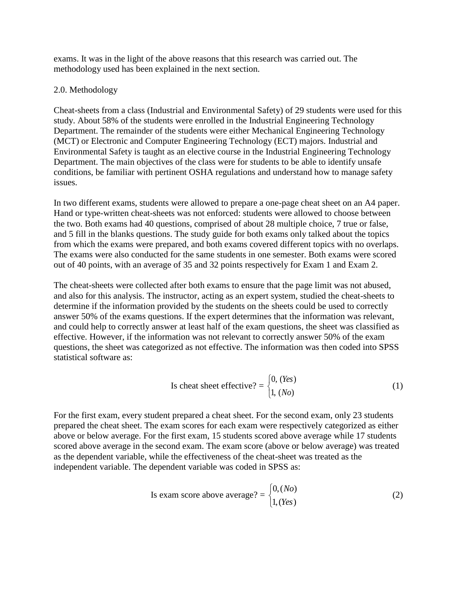exams. It was in the light of the above reasons that this research was carried out. The methodology used has been explained in the next section.

#### 2.0. Methodology

Cheat-sheets from a class (Industrial and Environmental Safety) of 29 students were used for this study. About 58% of the students were enrolled in the Industrial Engineering Technology Department. The remainder of the students were either Mechanical Engineering Technology (MCT) or Electronic and Computer Engineering Technology (ECT) majors. Industrial and Environmental Safety is taught as an elective course in the Industrial Engineering Technology Department. The main objectives of the class were for students to be able to identify unsafe conditions, be familiar with pertinent OSHA regulations and understand how to manage safety issues.

In two different exams, students were allowed to prepare a one-page cheat sheet on an A4 paper. Hand or type-written cheat-sheets was not enforced: students were allowed to choose between the two. Both exams had 40 questions, comprised of about 28 multiple choice, 7 true or false, and 5 fill in the blanks questions. The study guide for both exams only talked about the topics from which the exams were prepared, and both exams covered different topics with no overlaps. The exams were also conducted for the same students in one semester. Both exams were scored out of 40 points, with an average of 35 and 32 points respectively for Exam 1 and Exam 2.

The cheat-sheets were collected after both exams to ensure that the page limit was not abused, and also for this analysis. The instructor, acting as an expert system, studied the cheat-sheets to determine if the information provided by the students on the sheets could be used to correctly answer 50% of the exams questions. If the expert determines that the information was relevant, and could help to correctly answer at least half of the exam questions, the sheet was classified as effective. However, if the information was not relevant to correctly answer 50% of the exam questions, the sheet was categorized as not effective. The information was then coded into SPSS statistical software as:

Is cheat sheet effective? = 
$$
\begin{cases} 0, (Yes) \\ 1, (No) \end{cases}
$$
 (1)

For the first exam, every student prepared a cheat sheet. For the second exam, only 23 students prepared the cheat sheet. The exam scores for each exam were respectively categorized as either above or below average. For the first exam, 15 students scored above average while 17 students scored above average in the second exam. The exam score (above or below average) was treated as the dependent variable, while the effectiveness of the cheat-sheet was treated as the independent variable. The dependent variable was coded in SPSS as:

Is exam score above average? = 
$$
\begin{cases} 0, (No) \\ 1, (Yes) \end{cases}
$$
 (2)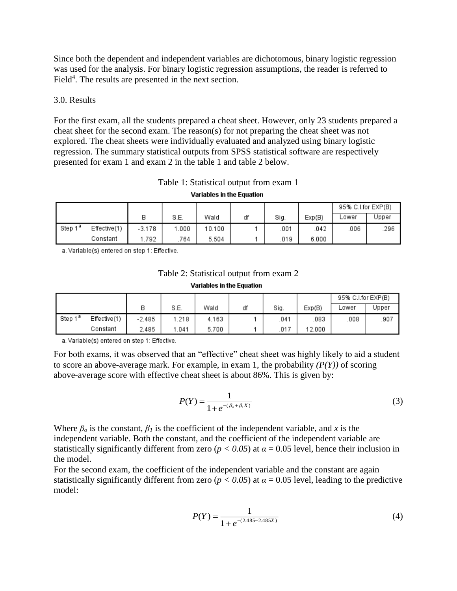Since both the dependent and independent variables are dichotomous, binary logistic regression was used for the analysis. For binary logistic regression assumptions, the reader is referred to Field<sup>4</sup>. The results are presented in the next section.

#### 3.0. Results

For the first exam, all the students prepared a cheat sheet. However, only 23 students prepared a cheat sheet for the second exam. The reason(s) for not preparing the cheat sheet was not explored. The cheat sheets were individually evaluated and analyzed using binary logistic regression. The summary statistical outputs from SPSS statistical software are respectively presented for exam 1 and exam 2 in the table 1 and table 2 below.

**Variables in the Equation** 

|                     |              |          |      |        |    |      |        | 95% C.I.for EXP(B) |       |
|---------------------|--------------|----------|------|--------|----|------|--------|--------------------|-------|
|                     |              | В        | S.E. | Wald   | df | Sig. | Exp(B) | ∟ower              | Jpper |
| Step 1 <sup>a</sup> | Effective(1) | $-3.178$ | .000 | 10.100 |    | 001  | .042   | .006               | .296  |
|                     | Constant     | .792     | 764  | 5.504  |    | .019 | 6.000  |                    |       |

a. Variable(s) entered on step 1: Effective.

### Table 2: Statistical output from exam 2 **Variables in the Equation**

|                     |              |          |      |       |    |      |        | 95% C.I.for EXP(B) |       |
|---------------------|--------------|----------|------|-------|----|------|--------|--------------------|-------|
|                     |              | В        | S.E. | Wald  | df | Sig. | Exp(B) | _ower              | Jpper |
| Step 1 <sup>a</sup> | Effective(1) | $-2.485$ | .218 | 4.163 |    | 041  | .083   | .008               | .907  |
|                     | Constant     | 2.485    | .041 | 5.700 |    | .017 | 12.000 |                    |       |

a. Variable(s) entered on step 1: Effective.

For both exams, it was observed that an "effective" cheat sheet was highly likely to aid a student to score an above-average mark. For example, in exam 1, the probability  $(P(Y))$  of scoring above-average score with effective cheat sheet is about 86%. This is given by:

$$
P(Y) = \frac{1}{1 + e^{-(\beta_o + \beta_1 X)}}\tag{3}
$$

Where  $\beta$ <sup>*o*</sup> is the constant,  $\beta$ <sup>*I*</sup> is the coefficient of the independent variable, and *x* is the independent variable. Both the constant, and the coefficient of the independent variable are statistically significantly different from zero ( $p < 0.05$ ) at  $\alpha = 0.05$  level, hence their inclusion in the model.

For the second exam, the coefficient of the independent variable and the constant are again statistically significantly different from zero ( $p < 0.05$ ) at  $\alpha = 0.05$  level, leading to the predictive model:

$$
P(Y) = \frac{1}{1 + e^{-(2.485 - 2.485X)}}
$$
(4)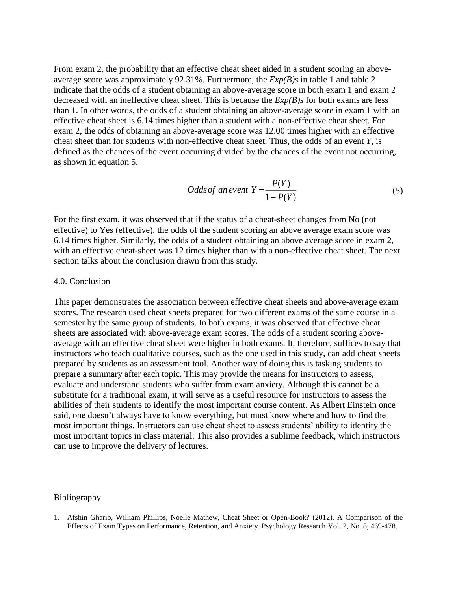From exam 2, the probability that an effective cheat sheet aided in a student scoring an aboveaverage score was approximately 92.31%. Furthermore, the *Exp(B)s* in table 1 and table 2 indicate that the odds of a student obtaining an above-average score in both exam 1 and exam 2 decreased with an ineffective cheat sheet. This is because the *Exp(B)s* for both exams are less than 1. In other words, the odds of a student obtaining an above-average score in exam 1 with an effective cheat sheet is 6.14 times higher than a student with a non-effective cheat sheet. For exam 2, the odds of obtaining an above-average score was 12.00 times higher with an effective cheat sheet than for students with non-effective cheat sheet. Thus, the odds of an event *Y*, is defined as the chances of the event occurring divided by the chances of the event not occurring, as shown in equation 5.

Odds of an event 
$$
Y = \frac{P(Y)}{1 - P(Y)}
$$
 (5)

For the first exam, it was observed that if the status of a cheat-sheet changes from No (not effective) to Yes (effective), the odds of the student scoring an above average exam score was 6.14 times higher. Similarly, the odds of a student obtaining an above average score in exam 2, with an effective cheat-sheet was 12 times higher than with a non-effective cheat sheet. The next section talks about the conclusion drawn from this study.

#### 4.0. Conclusion

This paper demonstrates the association between effective cheat sheets and above-average exam scores. The research used cheat sheets prepared for two different exams of the same course in a semester by the same group of students. In both exams, it was observed that effective cheat sheets are associated with above-average exam scores. The odds of a student scoring aboveaverage with an effective cheat sheet were higher in both exams. It, therefore, suffices to say that instructors who teach qualitative courses, such as the one used in this study, can add cheat sheets prepared by students as an assessment tool. Another way of doing this is tasking students to prepare a summary after each topic. This may provide the means for instructors to assess, evaluate and understand students who suffer from exam anxiety. Although this cannot be a substitute for a traditional exam, it will serve as a useful resource for instructors to assess the abilities of their students to identify the most important course content. As Albert Einstein once said, one doesn't always have to know everything, but must know where and how to find the most important things. Instructors can use cheat sheet to assess students' ability to identify the most important topics in class material. This also provides a sublime feedback, which instructors can use to improve the delivery of lectures.

#### Bibliography

1. Afshin Gharib, William Phillips, Noelle Mathew, Cheat Sheet or Open-Book? (2012). A Comparison of the Effects of Exam Types on Performance, Retention, and Anxiety. Psychology Research Vol. 2, No. 8, 469-478.